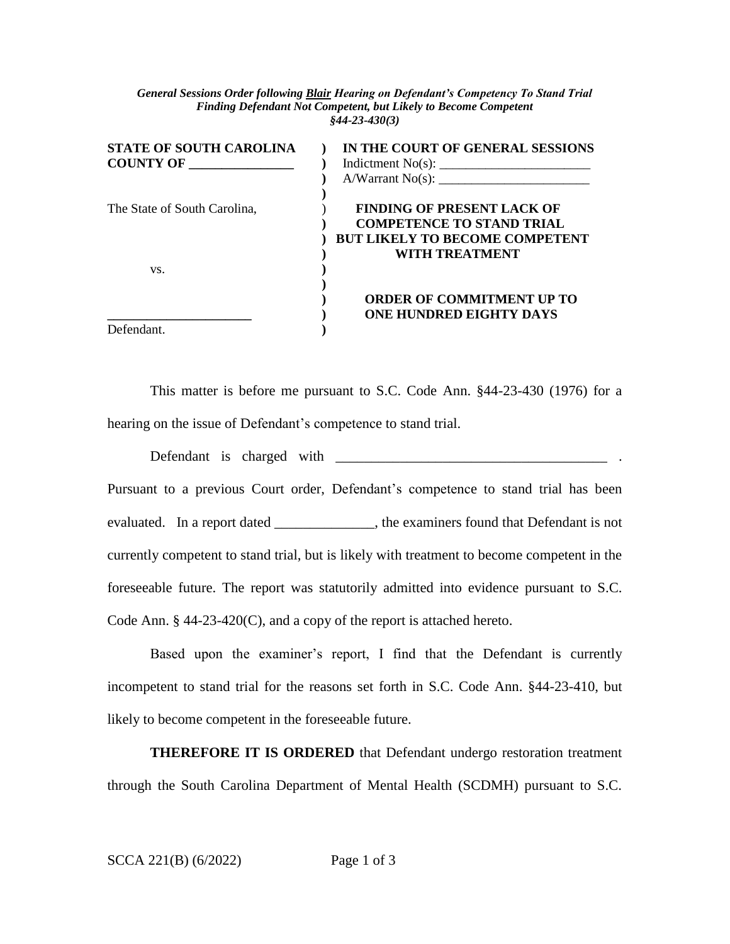*General Sessions Order following Blair Hearing on Defendant's Competency To Stand Trial Finding Defendant Not Competent, but Likely to Become Competent §44-23-430(3)*

| <b>STATE OF SOUTH CAROLINA</b> | IN THE COURT OF GENERAL SESSIONS      |
|--------------------------------|---------------------------------------|
| <b>COUNTY OF</b>               |                                       |
|                                | A/Warrant No(s):                      |
|                                |                                       |
| The State of South Carolina,   | <b>FINDING OF PRESENT LACK OF</b>     |
|                                | <b>COMPETENCE TO STAND TRIAL</b>      |
|                                | <b>BUT LIKELY TO BECOME COMPETENT</b> |
|                                | WITH TREATMENT                        |
| VS.                            |                                       |
|                                |                                       |
|                                | <b>ORDER OF COMMITMENT UP TO</b>      |
|                                | <b>ONE HUNDRED EIGHTY DAYS</b>        |
| Defendant.                     |                                       |

This matter is before me pursuant to S.C. Code Ann. §44-23-430 (1976) for a hearing on the issue of Defendant's competence to stand trial.

Defendant is charged with \_\_\_\_\_\_\_\_\_\_\_\_\_\_\_\_\_\_\_\_\_\_\_\_\_\_\_\_\_\_\_\_\_\_\_\_\_\_ .

Pursuant to a previous Court order, Defendant's competence to stand trial has been evaluated. In a report dated \_\_\_\_\_\_\_\_\_\_\_\_\_, the examiners found that Defendant is not currently competent to stand trial, but is likely with treatment to become competent in the foreseeable future. The report was statutorily admitted into evidence pursuant to S.C. Code Ann. § 44-23-420(C), and a copy of the report is attached hereto.

Based upon the examiner's report, I find that the Defendant is currently incompetent to stand trial for the reasons set forth in S.C. Code Ann. §44-23-410, but likely to become competent in the foreseeable future.

**THEREFORE IT IS ORDERED** that Defendant undergo restoration treatment through the South Carolina Department of Mental Health (SCDMH) pursuant to S.C.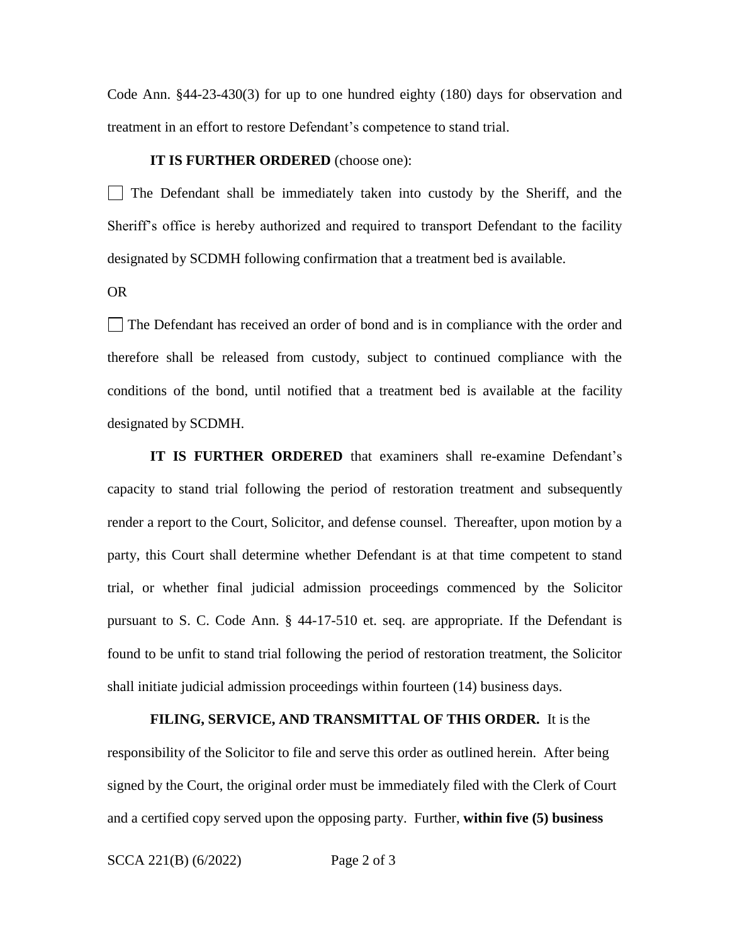Code Ann. §44-23-430(3) for up to one hundred eighty (180) days for observation and treatment in an effort to restore Defendant's competence to stand trial.

## **IT IS FURTHER ORDERED** (choose one):

 $\Box$  The Defendant shall be immediately taken into custody by the Sheriff, and the Sheriff's office is hereby authorized and required to transport Defendant to the facility designated by SCDMH following confirmation that a treatment bed is available.

OR

The Defendant has received an order of bond and is in compliance with the order and therefore shall be released from custody, subject to continued compliance with the conditions of the bond, until notified that a treatment bed is available at the facility designated by SCDMH.

**IT IS FURTHER ORDERED** that examiners shall re-examine Defendant's capacity to stand trial following the period of restoration treatment and subsequently render a report to the Court, Solicitor, and defense counsel. Thereafter, upon motion by a party, this Court shall determine whether Defendant is at that time competent to stand trial, or whether final judicial admission proceedings commenced by the Solicitor pursuant to S. C. Code Ann. § 44-17-510 et. seq. are appropriate. If the Defendant is found to be unfit to stand trial following the period of restoration treatment, the Solicitor shall initiate judicial admission proceedings within fourteen (14) business days.

## **FILING, SERVICE, AND TRANSMITTAL OF THIS ORDER.** It is the

responsibility of the Solicitor to file and serve this order as outlined herein. After being signed by the Court, the original order must be immediately filed with the Clerk of Court and a certified copy served upon the opposing party. Further, **within five (5) business** 

SCCA 221(B) (6/2022) Page 2 of 3